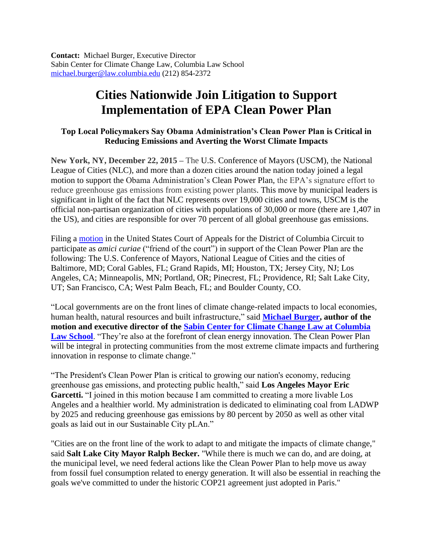**Contact:** Michael Burger, Executive Director Sabin Center for Climate Change Law, Columbia Law School [michael.burger@law.columbia.edu](mailto:michael.burger@law.columbia.edu) (212) 854-2372

## **Cities Nationwide Join Litigation to Support Implementation of EPA Clean Power Plan**

## **Top Local Policymakers Say Obama Administration's Clean Power Plan is Critical in Reducing Emissions and Averting the Worst Climate Impacts**

**New York, NY, December 22, 2015 –** The U.S. Conference of Mayors (USCM), the National League of Cities (NLC), and more than a dozen cities around the nation today joined a legal motion to support the Obama Administration's Clean Power Plan, the EPA's signature effort to reduce greenhouse gas emissions from existing power plants. This move by municipal leaders is significant in light of the fact that NLC represents over 19,000 cities and towns, USCM is the official non-partisan organization of cities with populations of 30,000 or more (there are 1,407 in the US), and cities are responsible for over 70 percent of all global greenhouse gas emissions.

Filing a [motion](https://web.law.columbia.edu/sites/default/files/microsites/climate-change/motion_by_local_government_coalition_for_leave_to_participate_as_amici_in_west_virigina_v_epa.pdf) in the United States Court of Appeals for the District of Columbia Circuit to participate as *amici curiae* ("friend of the court") in support of the Clean Power Plan are the following: The U.S. Conference of Mayors, National League of Cities and the cities of Baltimore, MD; Coral Gables, FL; Grand Rapids, MI; Houston, TX; Jersey City, NJ; Los Angeles, CA; Minneapolis, MN; Portland, OR; Pinecrest, FL; Providence, RI; Salt Lake City, UT; San Francisco, CA; West Palm Beach, FL; and Boulder County, CO.

"Local governments are on the front lines of climate change-related impacts to local economies, human health, natural resources and built infrastructure," said **[Michael Burger,](http://web.law.columbia.edu/climate-change/about-center/staff-and-affiliates/michael-burger) author of the motion and executive director of the [Sabin Center for Climate Change Law at Columbia](http://web.law.columbia.edu/climate-change)**  [Law School](http://web.law.columbia.edu/climate-change). "They're also at the forefront of clean energy innovation. The Clean Power Plan will be integral in protecting communities from the most extreme climate impacts and furthering innovation in response to climate change."

"The President's Clean Power Plan is critical to growing our nation's economy, reducing greenhouse gas emissions, and protecting public health," said **Los Angeles Mayor Eric**  Garcetti. "I joined in this motion because I am committed to creating a more livable Los Angeles and a healthier world. My administration is dedicated to eliminating coal from LADWP by 2025 and reducing greenhouse gas emissions by 80 percent by 2050 as well as other vital goals as laid out in our Sustainable City pLAn."

"Cities are on the front line of the work to adapt to and mitigate the impacts of climate change," said **Salt Lake City Mayor Ralph Becker.** "While there is much we can do, and are doing, at the municipal level, we need federal actions like the Clean Power Plan to help move us away from fossil fuel consumption related to energy generation. It will also be essential in reaching the goals we've committed to under the historic COP21 agreement just adopted in Paris."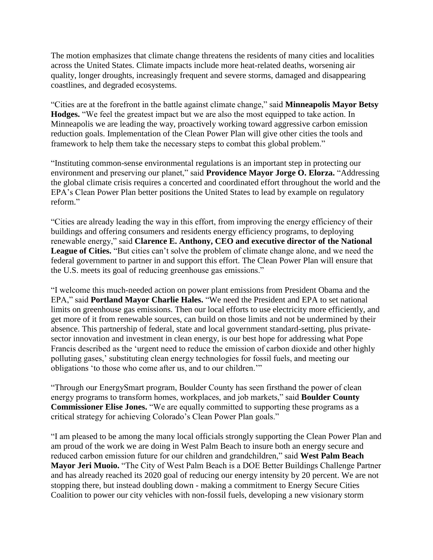The motion emphasizes that climate change threatens the residents of many cities and localities across the United States. Climate impacts include more heat-related deaths, worsening air quality, longer droughts, increasingly frequent and severe storms, damaged and disappearing coastlines, and degraded ecosystems.

"Cities are at the forefront in the battle against climate change," said **Minneapolis Mayor Betsy Hodges.** "We feel the greatest impact but we are also the most equipped to take action. In Minneapolis we are leading the way, proactively working toward aggressive carbon emission reduction goals. Implementation of the Clean Power Plan will give other cities the tools and framework to help them take the necessary steps to combat this global problem."

"Instituting common-sense environmental regulations is an important step in protecting our environment and preserving our planet," said **Providence Mayor Jorge O. Elorza.** "Addressing the global climate crisis requires a concerted and coordinated effort throughout the world and the EPA's Clean Power Plan better positions the United States to lead by example on regulatory reform."

"Cities are already leading the way in this effort, from improving the energy efficiency of their buildings and offering consumers and residents energy efficiency programs, to deploying renewable energy," said **Clarence E. Anthony, CEO and executive director of the National League of Cities.** "But cities can't solve the problem of climate change alone, and we need the federal government to partner in and support this effort. The Clean Power Plan will ensure that the U.S. meets its goal of reducing greenhouse gas emissions."

"I welcome this much-needed action on power plant emissions from President Obama and the EPA," said **Portland Mayor Charlie Hales.** "We need the President and EPA to set national limits on greenhouse gas emissions. Then our local efforts to use electricity more efficiently, and get more of it from renewable sources, can build on those limits and not be undermined by their absence. This partnership of federal, state and local government standard-setting, plus privatesector innovation and investment in clean energy, is our best hope for addressing what Pope Francis described as the 'urgent need to reduce the emission of carbon dioxide and other highly polluting gases,' substituting clean energy technologies for fossil fuels, and meeting our obligations 'to those who come after us, and to our children.'"

"Through our EnergySmart program, Boulder County has seen firsthand the power of clean energy programs to transform homes, workplaces, and job markets," said **Boulder County Commissioner Elise Jones.** "We are equally committed to supporting these programs as a critical strategy for achieving Colorado's Clean Power Plan goals."

"I am pleased to be among the many local officials strongly supporting the Clean Power Plan and am proud of the work we are doing in West Palm Beach to insure both an energy secure and reduced carbon emission future for our children and grandchildren," said **West Palm Beach Mayor Jeri Muoio.** "The City of West Palm Beach is a DOE Better Buildings Challenge Partner and has already reached its 2020 goal of reducing our energy intensity by 20 percent. We are not stopping there, but instead doubling down - making a commitment to Energy Secure Cities Coalition to power our city vehicles with non-fossil fuels, developing a new visionary storm